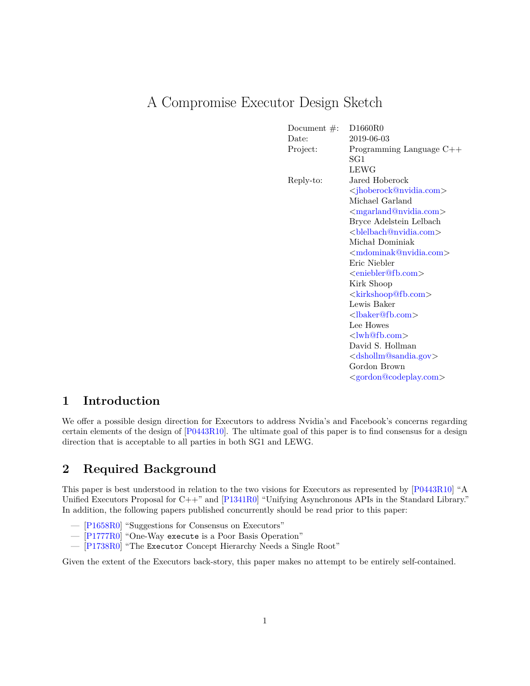# A Compromise Executor Design Sketch

| Document $#$ : | D1660R0                                       |
|----------------|-----------------------------------------------|
| Date:          | 2019-06-03                                    |
| Project:       | Programming Language $C++$                    |
|                | SG1                                           |
|                | LEWG                                          |
| Reply-to:      | Jared Hoberock                                |
|                | <jhoberock@nvidia.com></jhoberock@nvidia.com> |
|                | Michael Garland                               |
|                | <mgarland@nvidia.com></mgarland@nvidia.com>   |
|                | Bryce Adelstein Lelbach                       |
|                |                                               |
|                | Michał Dominiak                               |
|                | <mdominak@nvidia.com></mdominak@nvidia.com>   |
|                | Eric Niebler                                  |
|                | $\leq$ eniebler@fb.com $>$                    |
|                | Kirk Shoop                                    |
|                | <kirkshoop@fb.com></kirkshoop@fb.com>         |
|                | Lewis Baker                                   |
|                | <lbaker@fb.com></lbaker@fb.com>               |
|                | Lee Howes                                     |
|                | $\langle \text{lwh@fb.com}\rangle$            |
|                | David S. Hollman                              |
|                | <dshollm@sandia.gov></dshollm@sandia.gov>     |
|                | Gordon Brown                                  |
|                | <gordon@codeplay.com></gordon@codeplay.com>   |
|                |                                               |

### **1 Introduction**

We offer a possible design direction for Executors to address Nvidia's and Facebook's concerns regarding certain elements of the design of [\[P0443R10\]](#page-16-0). The ultimate goal of this paper is to find consensus for a design direction that is acceptable to all parties in both SG1 and LEWG.

## **2 Required Background**

This paper is best understood in relation to the two visions for Executors as represented by [\[P0443R10\]](#page-16-0) "A Unified Executors Proposal for C++" and [\[P1341R0\]](#page-16-1) "Unifying Asynchronous APIs in the Standard Library." In addition, the following papers published concurrently should be read prior to this paper:

- [\[P1658R0\]](#page-16-2) "Suggestions for Consensus on Executors"
- [\[P1777R0\]](#page-16-3) "One-Way execute is a Poor Basis Operation"
- [\[P1738R0\]](#page-16-4) "The Executor Concept Hierarchy Needs a Single Root"

Given the extent of the Executors back-story, this paper makes no attempt to be entirely self-contained.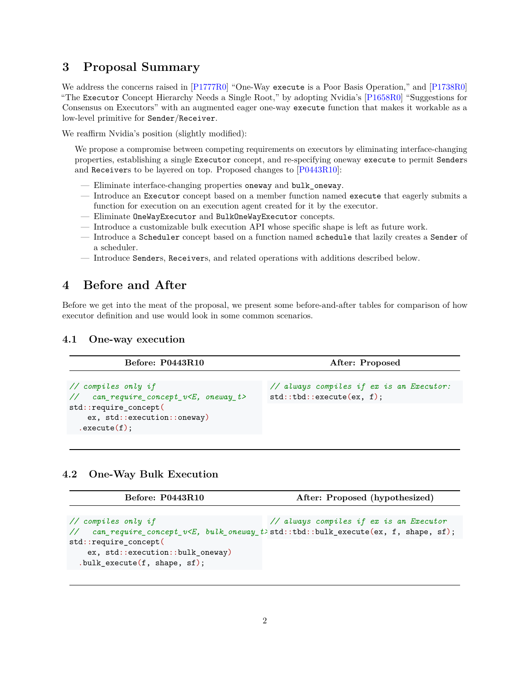### **3 Proposal Summary**

We address the concerns raised in [\[P1777R0\]](#page-16-3) "One-Way execute is a Poor Basis Operation," and [\[P1738R0\]](#page-16-4) "The Executor Concept Hierarchy Needs a Single Root," by adopting Nvidia's [\[P1658R0\]](#page-16-2) "Suggestions for Consensus on Executors" with an augmented eager one-way execute function that makes it workable as a low-level primitive for Sender/Receiver.

We reaffirm Nvidia's position (slightly modified):

We propose a compromise between competing requirements on executors by eliminating interface-changing properties, establishing a single Executor concept, and re-specifying oneway execute to permit Senders and Receivers to be layered on top. Proposed changes to [\[P0443R10\]](#page-16-0):

- Eliminate interface-changing properties oneway and bulk\_oneway.
- Introduce an Executor concept based on a member function named execute that eagerly submits a function for execution on an execution agent created for it by the executor.
- Eliminate OneWayExecutor and BulkOneWayExecutor concepts.
- Introduce a customizable bulk execution API whose specific shape is left as future work.
- Introduce a Scheduler concept based on a function named schedule that lazily creates a Sender of a scheduler.
- Introduce Senders, Receivers, and related operations with additions described below.

## **4 Before and After**

Before we get into the meat of the proposal, we present some before-and-after tables for comparison of how executor definition and use would look in some common scenarios.

#### **4.1 One-way execution**

| Before: P0443R10                                                                                                                                                       | After: Proposed                                                       |
|------------------------------------------------------------------------------------------------------------------------------------------------------------------------|-----------------------------------------------------------------------|
| $\frac{1}{2}$ compiles only if<br>$\frac{1}{2}$ can_require_concept_v <e, oneway_t=""><br/>std::require_concept(<br/>ex, std::execution::oneway)<br/>.execute(f);</e,> | // always compiles if ex is an Executor:<br>std::tbd::execute(ex, f); |
|                                                                                                                                                                        |                                                                       |

#### **4.2 One-Way Bulk Execution**

| <b>Before: P0443R10</b>                                                                                                        | After: Proposed (hypothesized)          |
|--------------------------------------------------------------------------------------------------------------------------------|-----------------------------------------|
|                                                                                                                                |                                         |
| $\frac{1}{2}$ compiles only if<br>// can_require_concept_v <e, bulk_oneway_t="">std::tbd::bulk_execute(ex, f, shape, sf);</e,> | // always compiles if ex is an Executor |
| std::require_concept(                                                                                                          |                                         |
| ex, std::execution::bulk_oneway)<br>$.bulk$ execute $(f, shape, sf);$                                                          |                                         |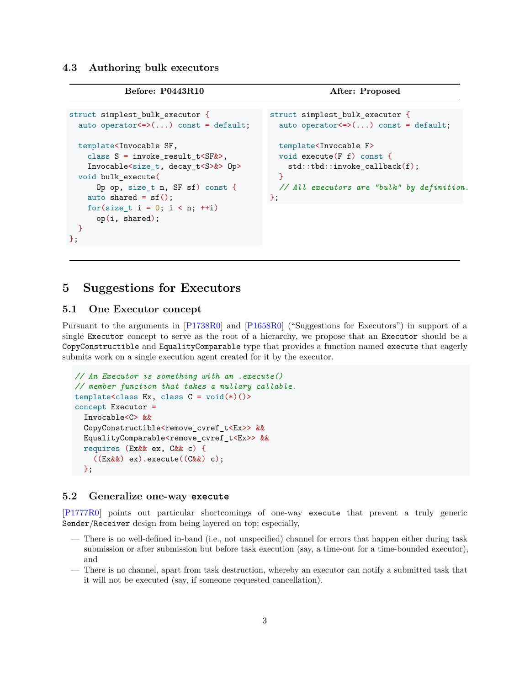**4.3 Authoring bulk executors**

```
Before: P0443R10 After: Proposed
```

```
struct simplest_bulk_executor {
  auto operator \leq \geq \ldots const = default;
 template<Invocable SF,
    class S = invoke_result_t<SF&>,
    Invocable<size_t, decay_t<S>&> Op>
 void bulk_execute(
      Op op, size_t n, SF sf) const {
    auto shared = sf();
    for(size t i = 0; i < n; ++i)
      op(i, shared);
  }
};
                                               struct simplest_bulk_executor {
                                                 auto operator \leq \geq \ldots const = default;
                                                 template<Invocable F>
                                                 void execute(F f) const {
                                                   std::tbd::invoke_callback(f);
                                                 }
                                                 // All executors are "bulk" by definition.
                                               };
```
### **5 Suggestions for Executors**

#### **5.1 One Executor concept**

Pursuant to the arguments in [\[P1738R0\]](#page-16-4) and [\[P1658R0\]](#page-16-2) ("Suggestions for Executors") in support of a single Executor concept to serve as the root of a hierarchy, we propose that an Executor should be a CopyConstructible and EqualityComparable type that provides a function named execute that eagerly submits work on a single execution agent created for it by the executor.

```
// An Executor is something with an .execute()
// member function that takes a nullary callable.
template<class Ex, class C = \text{void}(\ast)( )concept Executor =
  Invocable<C> &&
  CopyConstructible<remove_cvref_t<Ex>> &&
  EqualityComparable<remove_cvref_t<Ex>> &&
  requires (Ex&& ex, C&& c) {
    ((Ex&&) ex).execute((C&&) c);
  };
```
#### **5.2 Generalize one-way execute**

[\[P1777R0\]](#page-16-3) points out particular shortcomings of one-way execute that prevent a truly generic Sender/Receiver design from being layered on top; especially,

- There is no well-defined in-band (i.e., not unspecified) channel for errors that happen either during task submission or after submission but before task execution (say, a time-out for a time-bounded executor), and
- There is no channel, apart from task destruction, whereby an executor can notify a submitted task that it will not be executed (say, if someone requested cancellation).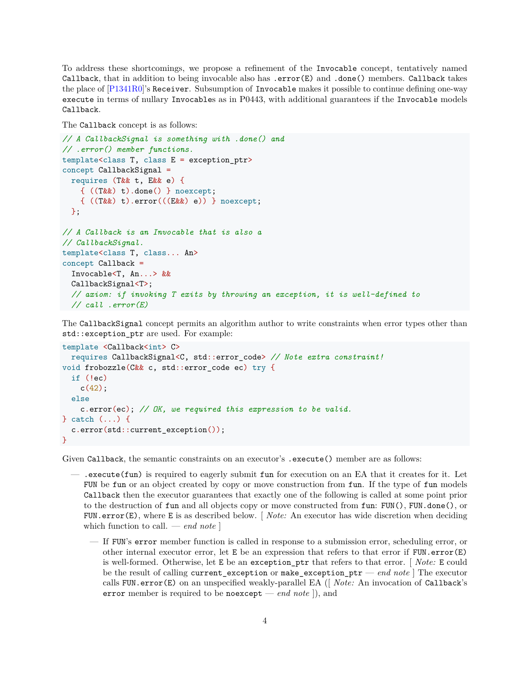To address these shortcomings, we propose a refinement of the Invocable concept, tentatively named Callback, that in addition to being invocable also has .error(E) and .done() members. Callback takes the place of  $[P1341R0]'$  $[P1341R0]'$ 's Receiver. Subsumption of Invocable makes it possible to continue defining one-way execute in terms of nullary Invocables as in P0443, with additional guarantees if the Invocable models Callback.

```
The Callback concept is as follows:
```

```
// A CallbackSignal is something with .done() and
// .error() member functions.
template<class T, class E = exception_ptr>
concept CallbackSignal =
  requires (T&& t, E&& e) {
   { ((T&&) t).done() } noexcept;
    { ((T&&) t).error(((E&&) e)) } noexcept;
 };
// A Callback is an Invocable that is also a
// CallbackSignal.
template<class T, class... An>
concept Callback =
  Invocable<T, An...> &&
 CallbackSignal<T>;
  // axiom: if invoking T exits by throwing an exception, it is well-defined to
 // call .error(E)
```
The CallbackSignal concept permits an algorithm author to write constraints when error types other than std::exception\_ptr are used. For example:

```
template <Callback<int> C>
 requires CallbackSignal<C, std::error_code> // Note extra constraint!
void frobozzle(C&& c, std::error_code ec) try {
  if (!ec)
    c(42);
  else
    c.error(ec); // OK, we required this expression to be valid.
} catch (...) {
  c.error(std::current_exception());
}
```
Given Callback, the semantic constraints on an executor's . execute () member are as follows:

- .execute(fun) is required to eagerly submit fun for execution on an EA that it creates for it. Let FUN be fun or an object created by copy or move construction from fun. If the type of fun models Callback then the executor guarantees that exactly one of the following is called at some point prior to the destruction of fun and all objects copy or move constructed from fun: FUN(), FUN.done(), or FUN.error(E), where E is as described below. [ *Note:* An executor has wide discretion when deciding which function to call. — *end note* ]
	- If FUN's error member function is called in response to a submission error, scheduling error, or other internal executor error, let E be an expression that refers to that error if FUN.error(E) is well-formed. Otherwise, let E be an exception\_ptr that refers to that error. [ *Note:* E could be the result of calling current\_exception or make\_exception\_ptr — *end note* ] The executor calls FUN.error(E) on an unspecified weakly-parallel EA ([ *Note:* An invocation of Callback's error member is required to be noexcept — *end note* ]), and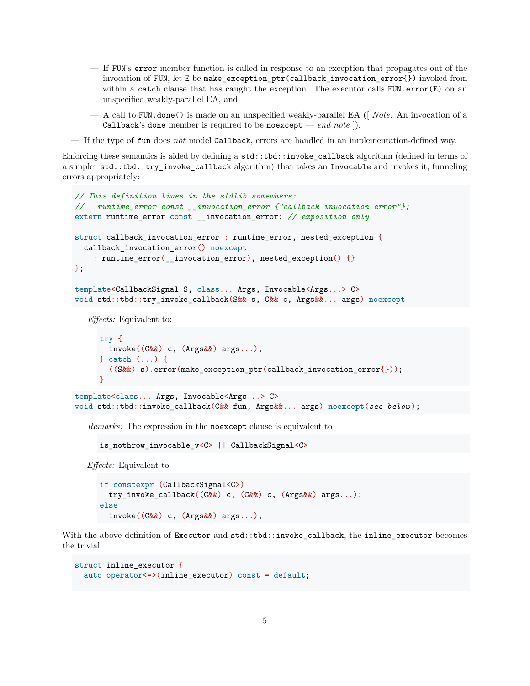- If FUN's error member function is called in response to an exception that propagates out of the invocation of FUN, let E be make\_exception\_ptr(callback\_invocation\_error{}) invoked from within a catch clause that has caught the exception. The executor calls  $FUN.error(E)$  on an unspecified weakly-parallel EA, and
- A call to FUN.done() is made on an unspecified weakly-parallel EA ([ *Note:* An invocation of a Callback's done member is required to be no except — *end note* ]).
- If the type of fun does *not* model Callback, errors are handled in an implementation-defined way.

Enforcing these semantics is aided by defining a std::tbd::invoke\_callback algorithm (defined in terms of a simpler std::tbd::try\_invoke\_callback algorithm) that takes an Invocable and invokes it, funneling errors appropriately:

```
// This definition lives in the stdlib somewhere:
// runtime_error const __invocation_error {"callback invocation error"};
extern runtime_error const __invocation_error; // exposition only
struct callback_invocation_error : runtime_error, nested_exception {
  callback_invocation_error() noexcept
    : runtime_error(__invocation_error), nested_exception() {}
};
template<CallbackSignal S, class... Args, Invocable<Args...> C>
void std::tbd::try_invoke_callback(S&& s, C&& c, Args&&... args) noexcept
   Effects: Equivalent to:
     try {
       invoke((C&&) c, (Args&&) args...);
```

```
} catch (...) {
       ((S&&) s).error(make_exception_ptr(callback_invocation_error{}));
     }
template<class... Args, Invocable<Args...> C>
void std::tbd::invoke callback(C&& fun, Args&&... args) noexcept(see below);
```
*Remarks:* The expression in the noexcept clause is equivalent to

is\_nothrow\_invocable\_v<C> || CallbackSignal<C>

*Effects:* Equivalent to

```
if constexpr (CallbackSignal<C>)
  try_invoke_callback((C&&) c, (C&&) c, (Args&&) args...);
else
  invoke((C&&) c, (Args&&) args...);
```
With the above definition of Executor and std::tbd::invoke\_callback, the inline\_executor becomes the trivial:

```
struct inline_executor {
  auto operator<=>(inline_executor) const = default;
```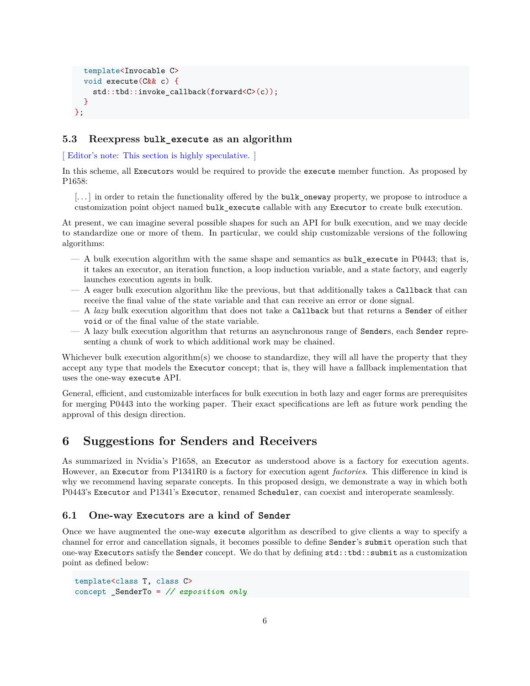```
template<Invocable C>
  void execute(C&& c) {
    std::tbd::invoke callback(forward<C>(c));
  }
};
```
#### **5.3 Reexpress bulk\_execute as an algorithm**

[ Editor's note: This section is highly speculative. ]

In this scheme, all Executors would be required to provide the execute member function. As proposed by P1658:

[...] in order to retain the functionality offered by the bulk oneway property, we propose to introduce a customization point object named bulk\_execute callable with any Executor to create bulk execution.

At present, we can imagine several possible shapes for such an API for bulk execution, and we may decide to standardize one or more of them. In particular, we could ship customizable versions of the following algorithms:

- A bulk execution algorithm with the same shape and semantics as bulk\_execute in P0443; that is, it takes an executor, an iteration function, a loop induction variable, and a state factory, and eagerly launches execution agents in bulk.
- A eager bulk execution algorithm like the previous, but that additionally takes a Callback that can receive the final value of the state variable and that can receive an error or done signal.
- A *lazy* bulk execution algorithm that does not take a Callback but that returns a Sender of either void or of the final value of the state variable.
- A lazy bulk execution algorithm that returns an asynchronous range of Senders, each Sender representing a chunk of work to which additional work may be chained.

Whichever bulk execution algorithm(s) we choose to standardize, they will all have the property that they accept any type that models the Executor concept; that is, they will have a fallback implementation that uses the one-way execute API.

General, efficient, and customizable interfaces for bulk execution in both lazy and eager forms are prerequisites for merging P0443 into the working paper. Their exact specifications are left as future work pending the approval of this design direction.

### **6 Suggestions for Senders and Receivers**

As summarized in Nvidia's P1658, an Executor as understood above is a factory for execution agents. However, an Executor from P1341R0 is a factory for execution agent *factories*. This difference in kind is why we recommend having separate concepts. In this proposed design, we demonstrate a way in which both P0443's Executor and P1341's Executor, renamed Scheduler, can coexist and interoperate seamlessly.

#### **6.1 One-way Executors are a kind of Sender**

Once we have augmented the one-way execute algorithm as described to give clients a way to specify a channel for error and cancellation signals, it becomes possible to define Sender's submit operation such that one-way Executors satisfy the Sender concept. We do that by defining std::tbd::submit as a customization point as defined below:

```
template<class T, class C>
concept _SenderTo = // exposition only
```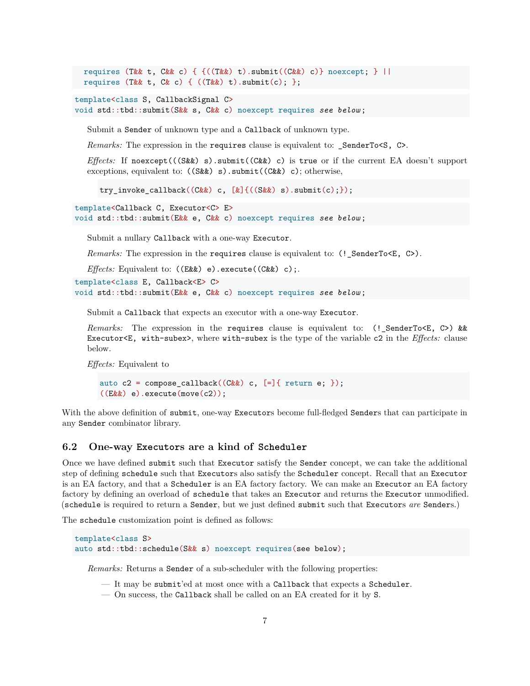```
requires (T&& t, C&& c) { {((T\&&t) t).submit((C&&) c)} noexcept; } ||
requires (T&& t, C& c) { ((T&&) t).submit(c);};
```

```
template<class S, CallbackSignal C>
void std::tbd::submit(S&& s, C&& c) noexcept requires see below ;
```
Submit a Sender of unknown type and a Callback of unknown type.

*Remarks:* The expression in the requires clause is equivalent to: \_SenderTo<S, C>.

*Effects:* If noexcept(((S&&) s).submit((C&&) c) is true or if the current EA doesn't support exceptions, equivalent to:  $((S \& k) s)$ . submit $((C \& k) c)$ ; otherwise,

try\_invoke\_callback((C&&) c, [&]{((S&&) s).submit(c);});

```
template<Callback C, Executor<C> E>
```
void std::tbd::submit(E&& e, C&& c) noexcept requires *see below* ;

Submit a nullary Callback with a one-way Executor.

*Remarks:* The expression in the requires clause is equivalent to: (!\_SenderTo<E, C>).

*Effects:* Equivalent to: ((E&&) e).execute((C&&) c);.

```
template<class E, Callback<E> C>
void std::tbd::submit(E&& e, C&& c) noexcept requires see below ;
```
Submit a Callback that expects an executor with a one-way Executor.

*Remarks:* The expression in the requires clause is equivalent to: (!\_SenderTo<E, C>) && Executor<E, with-subex>, where with-subex is the type of the variable c2 in the *Effects:* clause below.

*Effects:* Equivalent to

```
auto c2 = \text{composite\_callback}((C\&\&) c, [-]\{ \text{return } e; \});((Ex&) e).execute(move(c2));
```
With the above definition of submit, one-way Executors become full-fledged Senders that can participate in any Sender combinator library.

#### **6.2 One-way Executors are a kind of Scheduler**

Once we have defined submit such that Executor satisfy the Sender concept, we can take the additional step of defining schedule such that Executors also satisfy the Scheduler concept. Recall that an Executor is an EA factory, and that a Scheduler is an EA factory factory. We can make an Executor an EA factory factory by defining an overload of schedule that takes an Executor and returns the Executor unmodified. (schedule is required to return a Sender, but we just defined submit such that Executors *are* Senders.)

The schedule customization point is defined as follows:

```
template<class S>
auto std::tbd::schedule(S&& s) noexcept requires(see below);
```
*Remarks:* Returns a Sender of a sub-scheduler with the following properties:

- It may be submit'ed at most once with a Callback that expects a Scheduler.
- On success, the Callback shall be called on an EA created for it by S.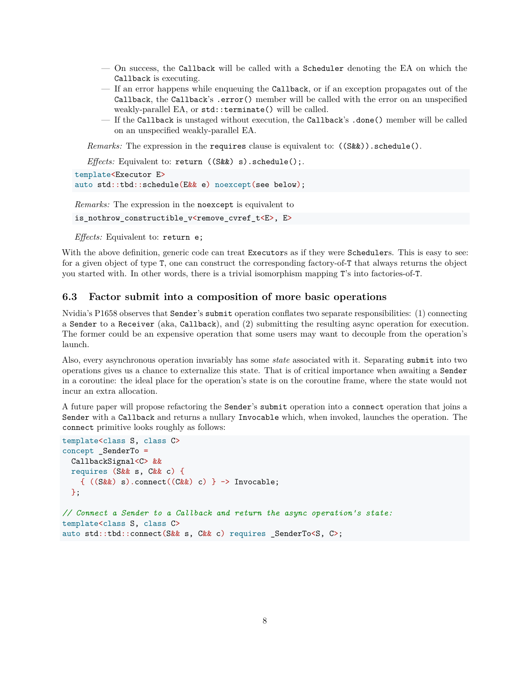- On success, the Callback will be called with a Scheduler denoting the EA on which the Callback is executing.
- If an error happens while enqueuing the Callback, or if an exception propagates out of the Callback, the Callback's .error() member will be called with the error on an unspecified weakly-parallel EA, or std::terminate() will be called.
- If the Callback is unstaged without execution, the Callback's .done() member will be called on an unspecified weakly-parallel EA.

*Remarks:* The expression in the requires clause is equivalent to:  $((S\&&))$ . schedule().

*Effects:* Equivalent to: return ((S&&) s).schedule();.

```
template<Executor E>
auto std::tbd::schedule(E&& e) noexcept(see below);
```
*Remarks:* The expression in the noexcept is equivalent to

is\_nothrow\_constructible\_v<remove\_cvref\_t<E>, E>

*Effects:* Equivalent to: return e;

With the above definition, generic code can treat Executors as if they were Schedulers. This is easy to see: for a given object of type T, one can construct the corresponding factory-of-T that always returns the object you started with. In other words, there is a trivial isomorphism mapping T's into factories-of-T.

#### **6.3 Factor submit into a composition of more basic operations**

Nvidia's P1658 observes that Sender's submit operation conflates two separate responsibilities: (1) connecting a Sender to a Receiver (aka, Callback), and (2) submitting the resulting async operation for execution. The former could be an expensive operation that some users may want to decouple from the operation's launch.

Also, every asynchronous operation invariably has some *state* associated with it. Separating submit into two operations gives us a chance to externalize this state. That is of critical importance when awaiting a Sender in a coroutine: the ideal place for the operation's state is on the coroutine frame, where the state would not incur an extra allocation.

A future paper will propose refactoring the Sender's submit operation into a connect operation that joins a Sender with a Callback and returns a nullary Invocable which, when invoked, launches the operation. The connect primitive looks roughly as follows:

```
template<class S, class C>
concept _SenderTo =
  CallbackSignal<C> &&
  requires (S&& s, C&& c) {
    \{ ((S\&amp); s) . \text{connect}((C\&amp); c) \} \rightarrow \text{Invocable};};
// Connect a Sender to a Callback and return the async operation's state:
template<class S, class C>
auto std::tbd::connect(S&& s, C&& c) requires _SenderTo<S, C>;
```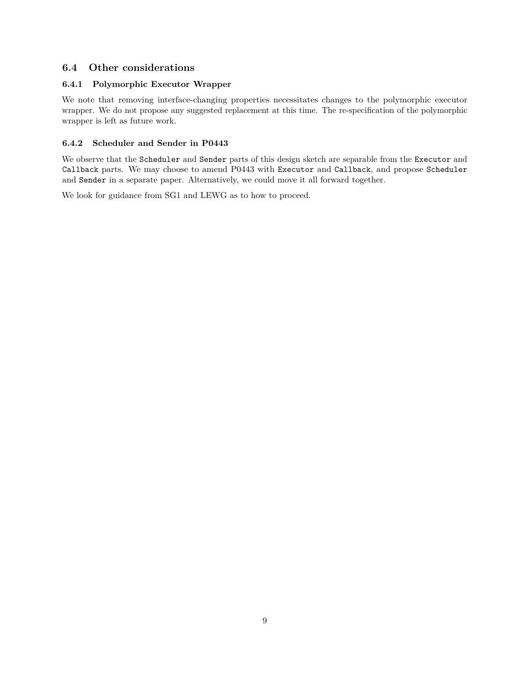### **6.4 Other considerations**

#### **6.4.1 Polymorphic Executor Wrapper**

We note that removing interface-changing properties necessitates changes to the polymorphic executor wrapper. We do not propose any suggested replacement at this time. The re-specification of the polymorphic wrapper is left as future work.

#### **6.4.2 Scheduler and Sender in P0443**

We observe that the Scheduler and Sender parts of this design sketch are separable from the Executor and Callback parts. We may choose to amend P0443 with Executor and Callback, and propose Scheduler and Sender in a separate paper. Alternatively, we could move it all forward together.

We look for guidance from SG1 and LEWG as to how to proceed.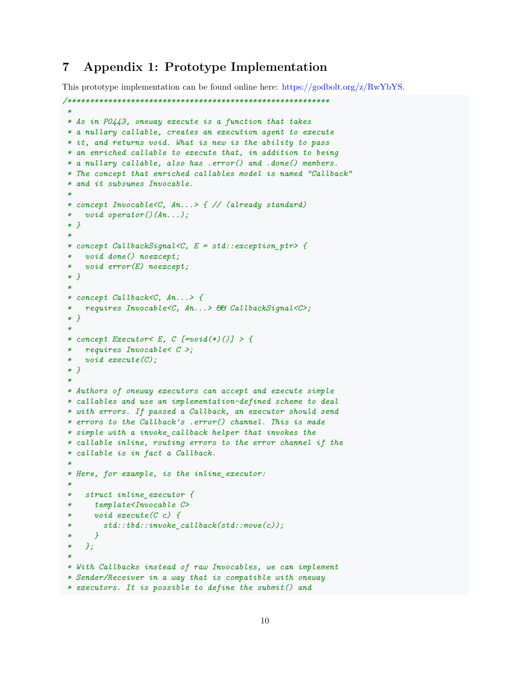### **7 Appendix 1: Prototype Implementation**

This prototype implementation can be found online here: [https://godbolt.org/z/RwYbYS.](https://godbolt.org/z/RwYbYS)

```
/**********************************************************
 *
 * As in P0443, oneway execute is a function that takes
* a nullary callable, creates an execution agent to execute
 * it, and returns void. What is new is the ability to pass
 * an enriched callable to execute that, in addition to being
 * a nullary callable, also has .error() and .done() members.
 * The concept that enriched callables model is named "Callback"
 * and it subsumes Invocable.
 *
 * concept Invocable<C, An...> { // (already standard)
    * void operator()(An...);
 * }
 *
 * concept CallbackSignal<C, E = std::exception_ptr> {
   * void done() noexcept;
   * void error(E) noexcept;
 * }
 *
 * concept Callback<C, An...> {
    * requires Invocable<C, An...> && CallbackSignal<C>;
 * }
 *
 * concept Executor< E, C [=void(*)()] > {
   * requires Invocable< C >;
 * void execute(C);
 * }
 *
 * Authors of oneway executors can accept and execute simple
 * callables and use an implementation-defined scheme to deal
 * with errors. If passed a Callback, an executor should send
 * errors to the Callback's .error() channel. This is made
 * simple with a invoke_callback helper that invokes the
 * callable inline, routing errors to the error channel if the
 * callable is in fact a Callback.
 *
 * Here, for example, is the inline_executor:
 *
 * struct inline_executor {
 * template<Invocable C>
      * void execute(C c) {
         * std::tbd::invoke_callback(std::move(c));
 * }
 * };
 *
 * With Callbacks instead of raw Invocables, we can implement
 * Sender/Receiver in a way that is compatible with oneway
 * executors. It is possible to define the submit() and
```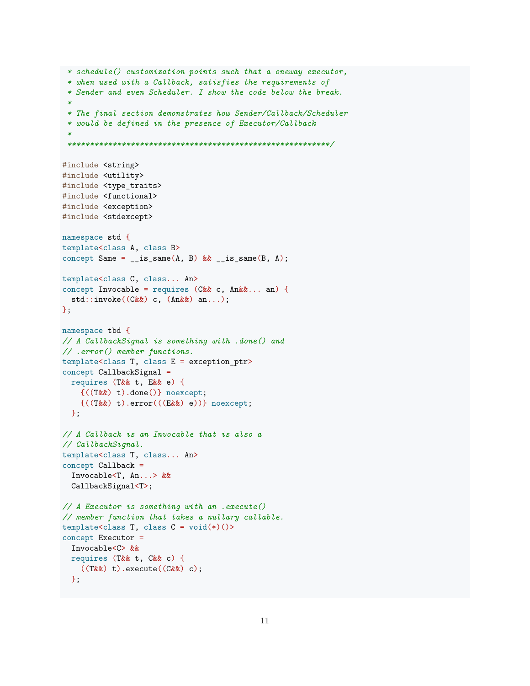```
* schedule() customization points such that a oneway executor,
 * when used with a Callback, satisfies the requirements of
 * Sender and even Scheduler. I show the code below the break.
 *
 * The final section demonstrates how Sender/Callback/Scheduler
 * would be defined in the presence of Executor/Callback
 *
 **********************************************************/
#include <string>
#include <utility>
#include <type_traits>
#include <functional>
#include <exception>
#include <stdexcept>
namespace std {
template<class A, class B>
concept Same = _is\_same(A, B) && _is\_same(B, A);template<class C, class... An>
concept Invocable = requires (C \& c, \text{An} \& c, \text{an}) {
 std::invoke((C&&) c, (An&&) an...);
};
namespace tbd {
// A CallbackSignal is something with .done() and
// .error() member functions.
template<class T, class E = exception_ptr>
concept CallbackSignal =
 requires (T&& t, E&& e) {
    {((T&&) t).done()} noexcept;
    {((T&&) t).error(((E&&) e))} noexcept;
 };
// A Callback is an Invocable that is also a
// CallbackSignal.
template<class T, class... An>
concept Callback =
  Invocable<T, An...> &&
  CallbackSignal<T>;
// A Executor is something with an .execute()
// member function that takes a nullary callable.
template<class T, class C = \text{void}(\ast)(>)concept Executor =
  Invocable<C> &&
 requires (T&& t, C&& c) {
    ((T&&) t).execute((C&) c);
 };
```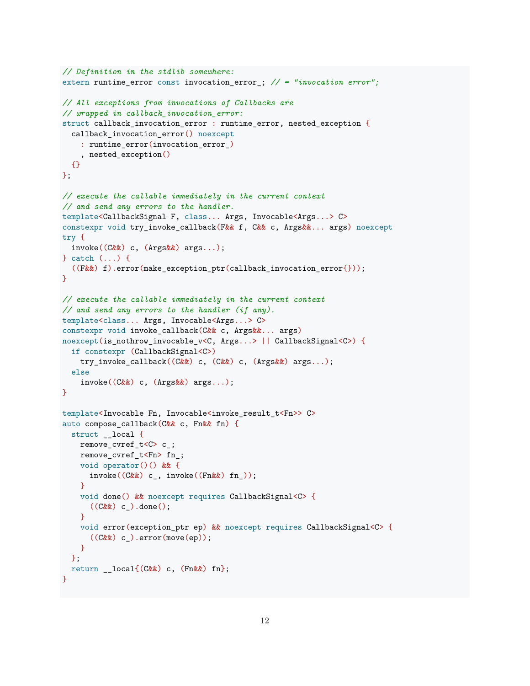```
// Definition in the stdlib somewhere:
extern runtime_error const invocation_error_; // = "invocation error";
// All exceptions from invocations of Callbacks are
// wrapped in callback_invocation_error:
struct callback_invocation_error : runtime_error, nested_exception {
  callback_invocation_error() noexcept
    : runtime_error(invocation_error_)
    , nested_exception()
  {}
};
// execute the callable immediately in the current context
// and send any errors to the handler.
template<CallbackSignal F, class... Args, Invocable<Args...> C>
constexpr void try_invoke_callback(F&& f, C&& c, Args&&... args) noexcept
try {
 invoke((C&&) c, (Args&&) args...);
} catch (...) {
  ((F&&) f).error(make_exception_ptr(callback_invocation_error{}));
\mathbf{I}// execute the callable immediately in the current context
// and send any errors to the handler (if any).
template<class... Args, Invocable<Args...> C>
constexpr void invoke_callback(C&& c, Args&&... args)
noexcept(is_nothrow_invocable_v<C, Args...> || CallbackSignal<C>) {
  if constexpr (CallbackSignal<C>)
    try_invoke_callback((C&&) c, (C&&) c, (Args&&) args...);
  else
    invoke((C&&) c, (Args&&) args...);
}
template<Invocable Fn, Invocable<invoke_result_t<Fn>> C>
auto compose_callback(C&& c, Fn&& fn) {
  struct __local {
   remove_cvref_t<C> c_;
   remove cvref t<Fn> fn ;
   void operator()() && {
      invoke((C&&) c_, invoke((Fn&&) fn_));
    }
    void done() && noexcept requires CallbackSignal<C> {
      ((C\&&) c_. done();
    }
    void error(exception_ptr ep) && noexcept requires CallbackSignal<C> {
      ((C&&) c_).error(move(ep));
    }
  };
  return _{-}local\{(C&&) c, (Fn&&) fn\};}
```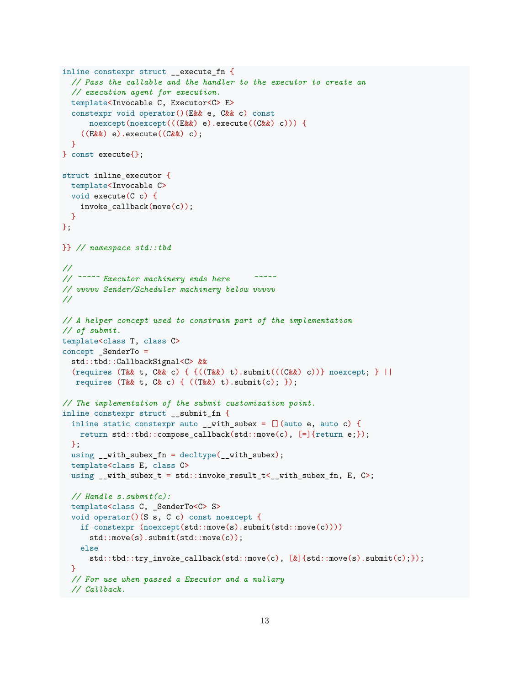```
inline constexpr struct __execute_fn {
  // Pass the callable and the handler to the executor to create an
  // execution agent for execution.
  template<Invocable C, Executor<C> E>
  constexpr void operator()(E&& e, C&& c) const
      noexcept(noexcept(((E&&) e).execute((C&&) c))) {
    ((Ex&) e).execute((C&) c);}
} const execute{};
struct inline_executor {
 template<Invocable C>
 void execute(C c) {
    invoke_callback(move(c));
 }
};
}} // namespace std::tbd
//
// ^^^^^ Executor machinery ends here ^^^^^
// vvvvv Sender/Scheduler machinery below vvvvv
//
// A helper concept used to constrain part of the implementation
// of submit.
template<class T, class C>
concept _SenderTo =
  std::tbd::CallbackSignal<C> &&
  (requires (T&& t, C&& c) { \{((T\&&) t).submit(((C\&&) c))\} noexcept; } ||
  requires (T&& t, C& c) { ((T&&) t).submit(c); });
// The implementation of the submit customization point.
inline constexpr struct __submit_fn {
  inline static constexpr auto \_with\_subex = [] (auto e, auto c) {
    return std::tbd::compose_callback(std::move(c), [=\]{return e;});
 };
  using \_with\_subex\_fn = \text{decltype}(\_\text{with\_subex});template<class E, class C>
  using \_with\_subset\_t = std::invoke\_result\_t < _with\_subex\_fn, E, C;
  // Handle s.submit(c):
  template<class C, _SenderTo<C> S>
  void operator()(S s, C c) const noexcept {
    if constexpr (noexcept(std::move(s).submit(std::move(c))))
      std::move(s).submit(std::move(c));
    else
      std::tbd::try_invoke_callback(std::move(c), [&]{std::move(s).submit(c);});
  }
  // For use when passed a Executor and a nullary
  // Callback.
```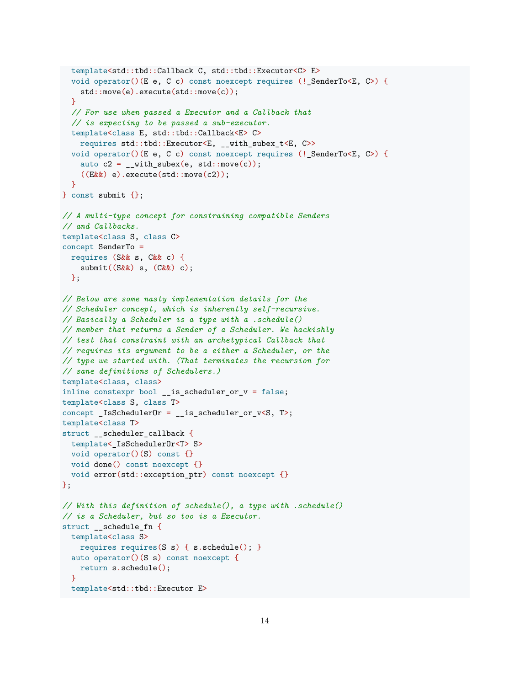```
template<std::tbd::Callback C, std::tbd::Executor<C> E>
  void operator()(E e, C c) const noexcept requires (!_SenderTo<E, C>) {
    std::move(e).execute(std::move(c));
  }
  // For use when passed a Executor and a Callback that
  // is expecting to be passed a sub-executor.
  template<class E, std::tbd::Callback<E> C>
    requires std::tbd::Executor<E, __with_subex_t<E, C>>
  void operator()(E e, C c) const noexcept requires (!_SenderTo<E, C>) {
    auto c2 = \text{__with\_subex}(e, std::move(c));((E&&) e).execute(std::move(c2));
  }
} const submit \{\};
// A multi-type concept for constraining compatible Senders
// and Callbacks.
template<class S, class C>
concept SenderTo =
  requires (S&& s, C&& c) {
    submit((S&&) s, (C&&) c);
 };
// Below are some nasty implementation details for the
// Scheduler concept, which is inherently self-recursive.
// Basically a Scheduler is a type with a .schedule()
// member that returns a Sender of a Scheduler. We hackishly
// test that constraint with an archetypical Callback that
// requires its argument to be a either a Scheduler, or the
// type we started with. (That terminates the recursion for
// sane definitions of Schedulers.)
template<class, class>
inline constexpr bool _is_sscheduler_or_v = false;
template<class S, class T>
concept _IsSchedulerOr = __is_scheduler_or_v<S, T>;
template<class T>
struct __scheduler_callback {
 template<_IsSchedulerOr<T> S>
 void operator()(S) const {}
 void done() const noexcept {}
  void error(std::exception_ptr) const noexcept {}
};
// With this definition of schedule(), a type with .schedule()
// is a Scheduler, but so too is a Executor.
struct __schedule_fn {
 template<class S>
    requires requires(S s) { s. schedule(); }
  auto operator()(S s) const noexcept {
   return s.schedule();
  }
  template<std::tbd::Executor E>
```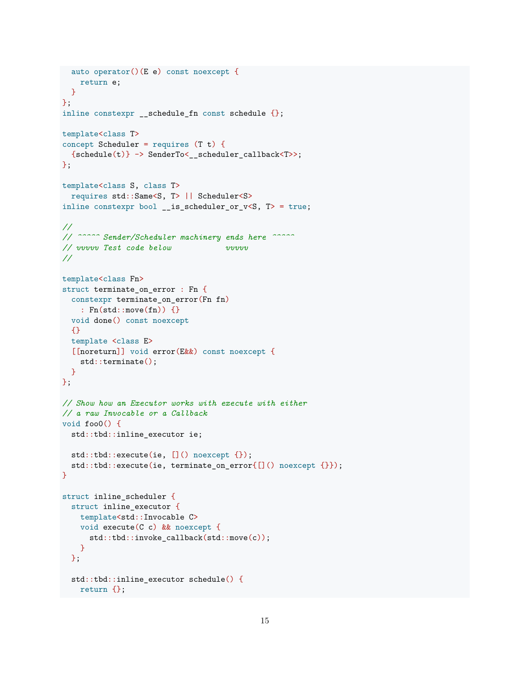```
auto operator()(E e) const noexcept {
   return e;
 }
};
inline constexpr __schedule_fn const schedule \{\};
template<class T>
concept Scheduler = requires (T t) {
 {schedule(t)} \rightarrow SenderTo < _scheduler-callback <;
};
template<class S, class T>
  requires std::Same<S, T> || Scheduler<S>
inline constexpr bool __is_scheduler_or_v<S, T> = true;
//
// ^^^^^ Sender/Scheduler machinery ends here ^^^^^
// vvvvv Test code below vvvvv
//
template<class Fn>
struct terminate_on_error : Fn {
 constexpr terminate_on_error(Fn fn)
   : Fn(std::move(fn)) {}
 void done() const noexcept
  {}
 template <class E>
  [[noreturn]] void error(E&&) const noexcept {
    std::terminate();
 }
};
// Show how an Executor works with execute with either
// a raw Invocable or a Callback
void foo0() {
  std::tbd::inline_executor ie;
 std::tbd::execute(ie, []() noexcept {});
 std::tbd::execute(ie, terminate_on_error{[]() noexcept {}});
}
struct inline_scheduler {
  struct inline_executor {
   template<std::Invocable C>
   void execute(C c) && noexcept {
      std::tbd::invoke_callback(std::move(c));
   }
  };
  std::tbd::inline_executor schedule() {
   return {};
```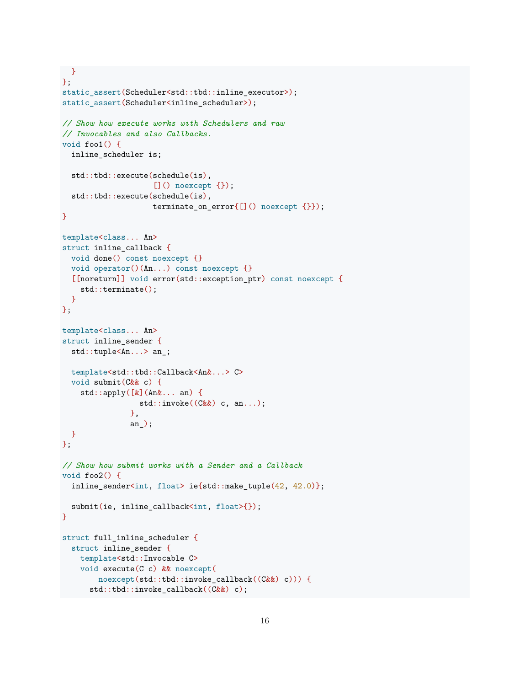```
}
};
static_assert(Scheduler<std::tbd::inline_executor>);
static_assert(Scheduler<inline_scheduler>);
// Show how execute works with Schedulers and raw
// Invocables and also Callbacks.
void foo1() {
  inline_scheduler is;
  std::tbd::execute(schedule(is),
                     []() noexcept {});
  std::tbd::execute(schedule(is),
                    terminate_on_error{[]() noexcept {}});
}
template<class... An>
struct inline_callback {
  void done() const noexcept {}
  void operator()(An...) const noexcept {}
  [[noreturn]] void error(std::exception_ptr) const noexcept {
    std::terminate();
  }
};
template<class... An>
struct inline_sender {
  std::tuple<An...> an_;
  template<std::tbd::Callback<An&...> C>
  void submit(C&& c) {
    std::apply([&](An&... an) {
                 std::invoke((C&&) c, an...);
               },
               an_);
  }
};
// Show how submit works with a Sender and a Callback
void foo2() {
  inline_sender<int, float> ie{std::make_tuple(42, 42.0)};
  submit(ie, inline_callback<int, float>{});
}
struct full_inline_scheduler {
  struct inline_sender {
    template<std::Invocable C>
    void execute(C c) && noexcept(
        noexcept(std::tbd::invoke_callback((C&&) c))) {
      std::tbd::invoke_callback((C&&) c);
```